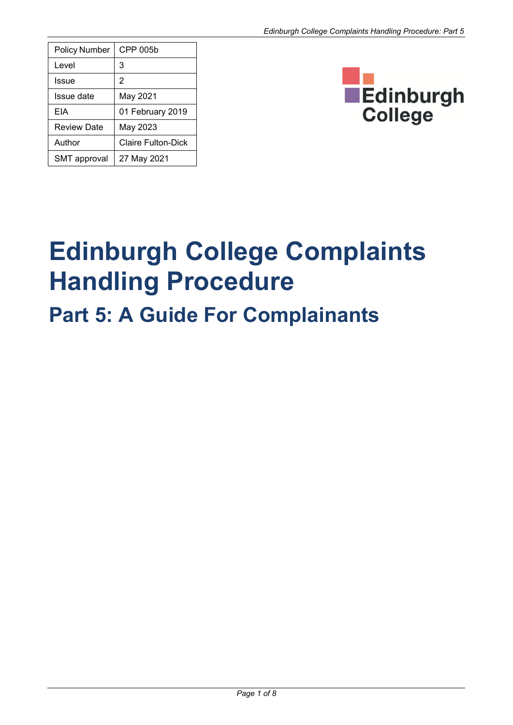| <b>Policy Number</b> | CPP 005b           |
|----------------------|--------------------|
| Level                | 3                  |
| Issue                | 2                  |
| Issue date           | May 2021           |
| FIA                  | 01 February 2019   |
| <b>Review Date</b>   | May 2023           |
| Author               | Claire Fulton-Dick |
| <b>SMT</b> approval  | 27 May 2021        |



# **Edinburgh College Complaints Handling Procedure**

## **Part 5: A Guide For Complainants**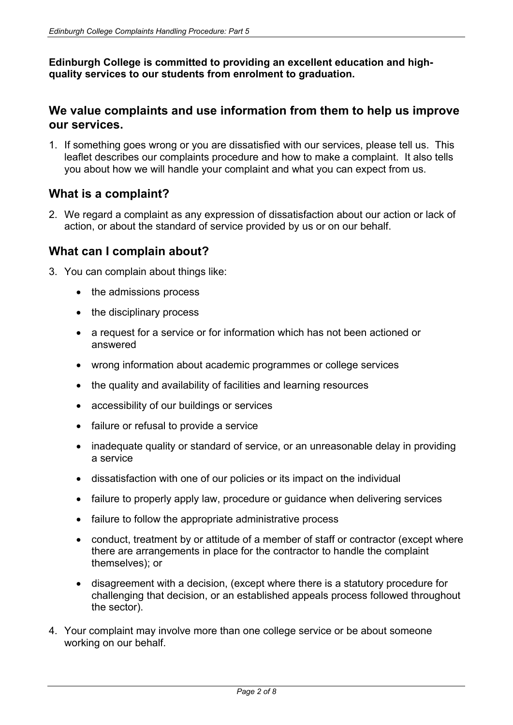**Edinburgh College is committed to providing an excellent education and highquality services to our students from enrolment to graduation.**

#### **We value complaints and use information from them to help us improve our services.**

1. If something goes wrong or you are dissatisfied with our services, please tell us. This leaflet describes our complaints procedure and how to make a complaint. It also tells you about how we will handle your complaint and what you can expect from us.

#### **What is a complaint?**

2. We regard a complaint as any expression of dissatisfaction about our action or lack of action, or about the standard of service provided by us or on our behalf.

#### **What can I complain about?**

- 3. You can complain about things like:
	- the admissions process
	- the disciplinary process
	- a request for a service or for information which has not been actioned or answered
	- wrong information about academic programmes or college services
	- the quality and availability of facilities and learning resources
	- accessibility of our buildings or services
	- failure or refusal to provide a service
	- inadequate quality or standard of service, or an unreasonable delay in providing a service
	- dissatisfaction with one of our policies or its impact on the individual
	- failure to properly apply law, procedure or guidance when delivering services
	- failure to follow the appropriate administrative process
	- conduct, treatment by or attitude of a member of staff or contractor (except where there are arrangements in place for the contractor to handle the complaint themselves); or
	- disagreement with a decision, (except where there is a statutory procedure for challenging that decision, or an established appeals process followed throughout the sector).
- 4. Your complaint may involve more than one college service or be about someone working on our behalf.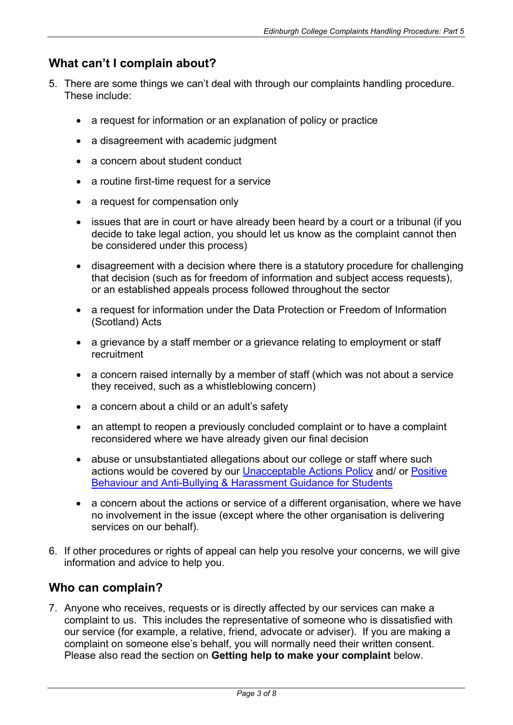#### **What can't I complain about?**

- 5. There are some things we can't deal with through our complaints handling procedure. These include:
	- a request for information or an explanation of policy or practice
	- a disagreement with academic judgment
	- a concern about student conduct
	- a routine first-time request for a service
	- a request for compensation only
	- issues that are in court or have already been heard by a court or a tribunal (if you decide to take legal action, you should let us know as the complaint cannot then be considered under this process)
	- disagreement with a decision where there is a statutory procedure for challenging that decision (such as for freedom of information and subject access requests), or an established appeals process followed throughout the sector
	- a request for information under the Data Protection or Freedom of Information (Scotland) Acts
	- a grievance by a staff member or a grievance relating to employment or staff recruitment
	- a concern raised internally by a member of staff (which was not about a service they received, such as a whistleblowing concern)
	- a concern about a child or an adult's safety
	- an attempt to reopen a previously concluded complaint or to have a complaint reconsidered where we have already given our final decision
	- abuse or unsubstantiated allegations about our college or staff where such actions would be covered by our [Unacceptable Actions Policy](https://www.edinburghcollege.ac.uk/media/hrwpuarh/complaints-handling-procedure-unacceptable-actions-statement.pdf) and/ or [Positive](https://www.edinburghcollege.ac.uk/media/vbjfsphb/positive-behaviour-anti-bullying-harassment-guidance-procedures-for-students.pdf)  [Behaviour and Anti-Bullying & Harassment Guidance for Students](https://www.edinburghcollege.ac.uk/media/vbjfsphb/positive-behaviour-anti-bullying-harassment-guidance-procedures-for-students.pdf)
	- a concern about the actions or service of a different organisation, where we have no involvement in the issue (except where the other organisation is delivering services on our behalf).
- 6. If other procedures or rights of appeal can help you resolve your concerns, we will give information and advice to help you.

#### **Who can complain?**

7. Anyone who receives, requests or is directly affected by our services can make a complaint to us. This includes the representative of someone who is dissatisfied with our service (for example, a relative, friend, advocate or adviser). If you are making a complaint on someone else's behalf, you will normally need their written consent. Please also read the section on **Getting help to make your complaint** below.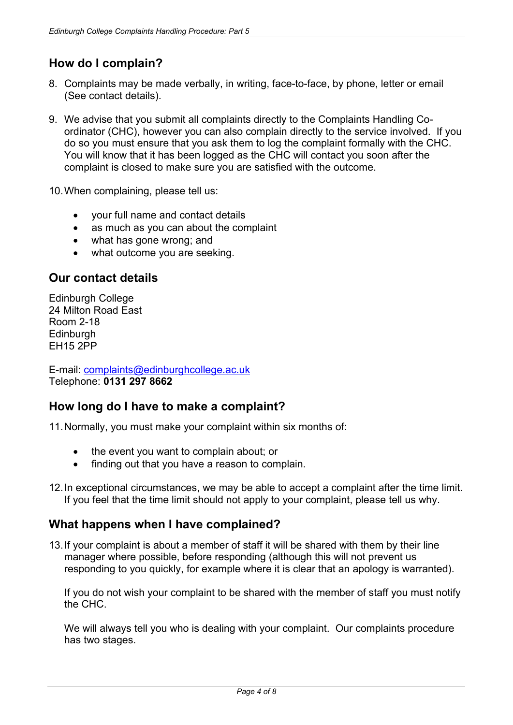### **How do I complain?**

- 8. Complaints may be made verbally, in writing, face-to-face, by phone, letter or email (See contact details).
- 9. We advise that you submit all complaints directly to the Complaints Handling Coordinator (CHC), however you can also complain directly to the service involved. If you do so you must ensure that you ask them to log the complaint formally with the CHC. You will know that it has been logged as the CHC will contact you soon after the complaint is closed to make sure you are satisfied with the outcome.

10.When complaining, please tell us:

- your full name and contact details
- as much as you can about the complaint
- what has gone wrong; and
- what outcome you are seeking.

#### **Our contact details**

Edinburgh College 24 Milton Road East Room 2-18 **Edinburgh** EH15 2PP

E-mail: [complaints@edinburghcollege.ac.uk](mailto:complaints@edinburghcollege.ac.uk) Telephone: **0131 297 8662**

#### **How long do I have to make a complaint?**

11.Normally, you must make your complaint within six months of:

- the event you want to complain about; or
- finding out that you have a reason to complain.
- 12.In exceptional circumstances, we may be able to accept a complaint after the time limit. If you feel that the time limit should not apply to your complaint, please tell us why.

#### **What happens when I have complained?**

13.If your complaint is about a member of staff it will be shared with them by their line manager where possible, before responding (although this will not prevent us responding to you quickly, for example where it is clear that an apology is warranted).

If you do not wish your complaint to be shared with the member of staff you must notify the CHC.

We will always tell you who is dealing with your complaint. Our complaints procedure has two stages.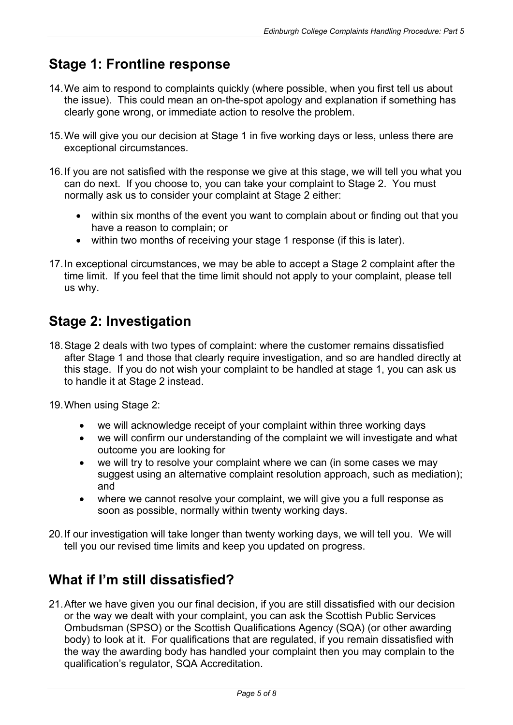## **Stage 1: Frontline response**

- 14.We aim to respond to complaints quickly (where possible, when you first tell us about the issue). This could mean an on-the-spot apology and explanation if something has clearly gone wrong, or immediate action to resolve the problem.
- 15.We will give you our decision at Stage 1 in five working days or less, unless there are exceptional circumstances.
- 16.If you are not satisfied with the response we give at this stage, we will tell you what you can do next. If you choose to, you can take your complaint to Stage 2. You must normally ask us to consider your complaint at Stage 2 either:
	- within six months of the event you want to complain about or finding out that you have a reason to complain; or
	- within two months of receiving your stage 1 response (if this is later).
- 17.In exceptional circumstances, we may be able to accept a Stage 2 complaint after the time limit. If you feel that the time limit should not apply to your complaint, please tell us why.

## **Stage 2: Investigation**

- 18.Stage 2 deals with two types of complaint: where the customer remains dissatisfied after Stage 1 and those that clearly require investigation, and so are handled directly at this stage. If you do not wish your complaint to be handled at stage 1, you can ask us to handle it at Stage 2 instead.
- 19.When using Stage 2:
	- we will acknowledge receipt of your complaint within three working days
	- we will confirm our understanding of the complaint we will investigate and what outcome you are looking for
	- we will try to resolve your complaint where we can (in some cases we may suggest using an alternative complaint resolution approach, such as mediation); and
	- where we cannot resolve your complaint, we will give you a full response as soon as possible, normally within twenty working days.
- 20.If our investigation will take longer than twenty working days, we will tell you. We will tell you our revised time limits and keep you updated on progress.

## **What if I'm still dissatisfied?**

21.After we have given you our final decision, if you are still dissatisfied with our decision or the way we dealt with your complaint, you can ask the Scottish Public Services Ombudsman (SPSO) or the Scottish Qualifications Agency (SQA) (or other awarding body) to look at it. For qualifications that are regulated, if you remain dissatisfied with the way the awarding body has handled your complaint then you may complain to the qualification's regulator, SQA Accreditation.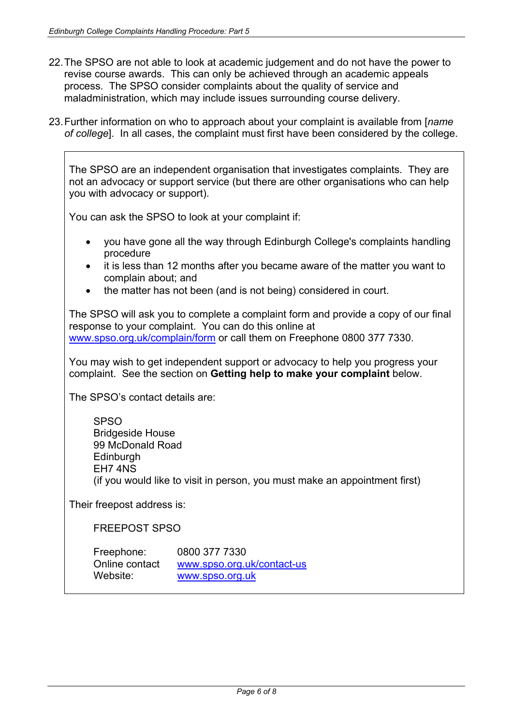- 22.The SPSO are not able to look at academic judgement and do not have the power to revise course awards. This can only be achieved through an academic appeals process. The SPSO consider complaints about the quality of service and maladministration, which may include issues surrounding course delivery.
- 23.Further information on who to approach about your complaint is available from [*name of college*]. In all cases, the complaint must first have been considered by the college.

The SPSO are an independent organisation that investigates complaints. They are not an advocacy or support service (but there are other organisations who can help you with advocacy or support).

You can ask the SPSO to look at your complaint if:

- you have gone all the way through Edinburgh College's complaints handling procedure
- it is less than 12 months after you became aware of the matter you want to complain about; and
- the matter has not been (and is not being) considered in court.

The SPSO will ask you to complete a complaint form and provide a copy of our final response to your complaint. You can do this online at [www.spso.org.uk/complain/form](http://www.spso.org.uk/complain/form) or call them on Freephone 0800 377 7330.

You may wish to get independent support or advocacy to help you progress your complaint. See the section on **Getting help to make your complaint** below.

The SPSO's contact details are:

SPSO Bridgeside House 99 McDonald Road **Edinburgh** EH7 4NS (if you would like to visit in person, you must make an appointment first)

Their freepost address is:

FREEPOST SPSO

| Freephone:     | 0800 377 7330              |
|----------------|----------------------------|
| Online contact | www.spso.org.uk/contact-us |
| Website:       | www.spso.org.uk            |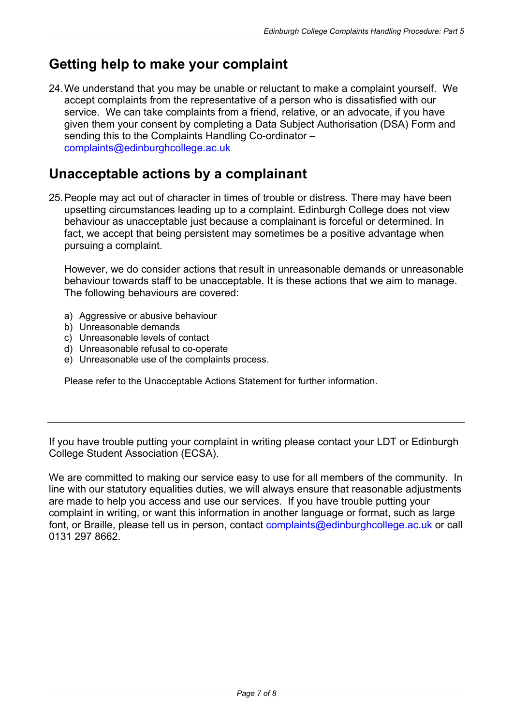## **Getting help to make your complaint**

24.We understand that you may be unable or reluctant to make a complaint yourself. We accept complaints from the representative of a person who is dissatisfied with our service. We can take complaints from a friend, relative, or an advocate, if you have given them your consent by completing a Data Subject Authorisation (DSA) Form and sending this to the Complaints Handling Co-ordinator – [complaints@edinburghcollege.ac.uk](mailto:complaints@edinburghcollege.ac.uk) 

## **Unacceptable actions by a complainant**

25.People may act out of character in times of trouble or distress. There may have been upsetting circumstances leading up to a complaint. Edinburgh College does not view behaviour as unacceptable just because a complainant is forceful or determined. In fact, we accept that being persistent may sometimes be a positive advantage when pursuing a complaint.

However, we do consider actions that result in unreasonable demands or unreasonable behaviour towards staff to be unacceptable. It is these actions that we aim to manage. The following behaviours are covered:

- a) Aggressive or abusive behaviour
- b) Unreasonable demands
- c) Unreasonable levels of contact
- d) Unreasonable refusal to co-operate
- e) Unreasonable use of the complaints process.

Please refer to the Unacceptable Actions Statement for further information.

If you have trouble putting your complaint in writing please contact your LDT or Edinburgh College Student Association (ECSA).

We are committed to making our service easy to use for all members of the community. In line with our statutory equalities duties, we will always ensure that reasonable adjustments are made to help you access and use our services. If you have trouble putting your complaint in writing, or want this information in another language or format, such as large font, or Braille, please tell us in person, contact [complaints@edinburghcollege.ac.uk](mailto:complaints@edinburghcollege.ac.uk) or call 0131 297 8662.